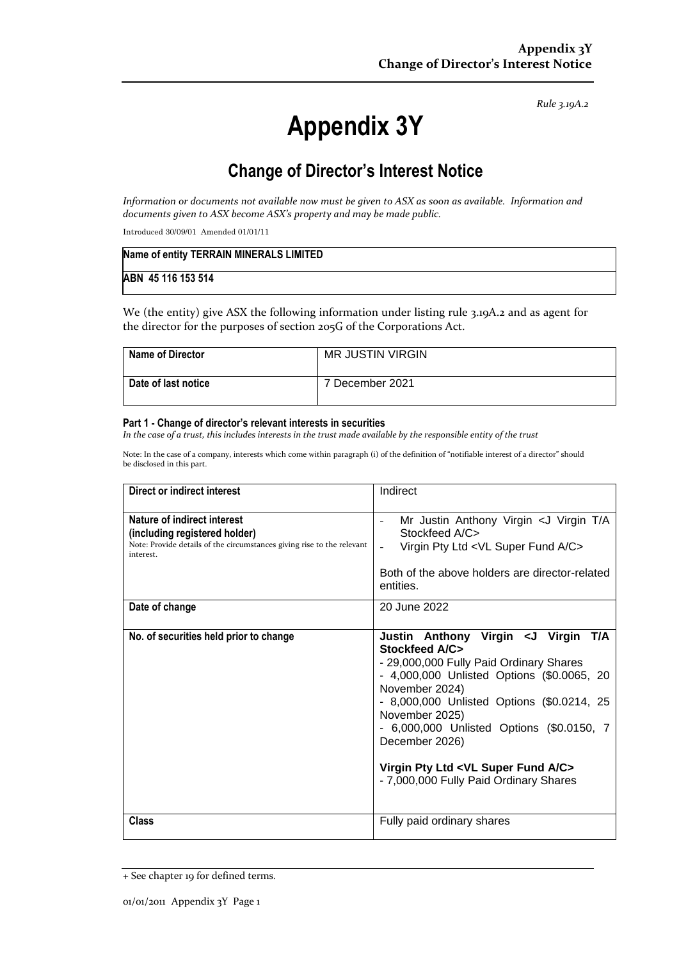*Rule 3.19A.2*

# **Appendix 3Y**

# **Change of Director's Interest Notice**

*Information or documents not available now must be given to ASX as soon as available. Information and documents given to ASX become ASX's property and may be made public.*

Introduced 30/09/01 Amended 01/01/11

| Name of entity TERRAIN MINERALS LIMITED |  |
|-----------------------------------------|--|
| ABN 45 116 153 514                      |  |

We (the entity) give ASX the following information under listing rule 3.19A.2 and as agent for the director for the purposes of section 205G of the Corporations Act.

| <b>Name of Director</b> | MR JUSTIN VIRGIN |
|-------------------------|------------------|
| Date of last notice     | 7 December 2021  |

#### **Part 1 - Change of director's relevant interests in securities**

*In the case of a trust, this includes interests in the trust made available by the responsible entity of the trust*

Note: In the case of a company, interests which come within paragraph (i) of the definition of "notifiable interest of a director" should be disclosed in this part.

| Direct or indirect interest                                                                                                                         | Indirect                                                                                                                                                                                                                                                                                                                                                                                              |  |
|-----------------------------------------------------------------------------------------------------------------------------------------------------|-------------------------------------------------------------------------------------------------------------------------------------------------------------------------------------------------------------------------------------------------------------------------------------------------------------------------------------------------------------------------------------------------------|--|
| Nature of indirect interest<br>(including registered holder)<br>Note: Provide details of the circumstances giving rise to the relevant<br>interest. | Mr Justin Anthony Virgin < J Virgin T/A<br>$\overline{\phantom{a}}$<br>Stockfeed A/C><br>Virgin Pty Ltd <vl a="" c="" fund="" super=""><br/>Both of the above holders are director-related<br/>entities.</vl>                                                                                                                                                                                         |  |
| Date of change                                                                                                                                      | 20 June 2022                                                                                                                                                                                                                                                                                                                                                                                          |  |
| No. of securities held prior to change                                                                                                              | Justin Anthony Virgin < J Virgin<br>T/A<br>Stockfeed A/C><br>- 29,000,000 Fully Paid Ordinary Shares<br>- 4,000,000 Unlisted Options (\$0.0065, 20<br>November 2024)<br>- 8,000,000 Unlisted Options (\$0.0214, 25<br>November 2025)<br>- 6,000,000 Unlisted Options (\$0.0150, 7<br>December 2026)<br>Virgin Pty Ltd <vl a="" c="" fund="" super=""><br/>- 7,000,000 Fully Paid Ordinary Shares</vl> |  |
| Class                                                                                                                                               | Fully paid ordinary shares                                                                                                                                                                                                                                                                                                                                                                            |  |

<sup>+</sup> See chapter 19 for defined terms.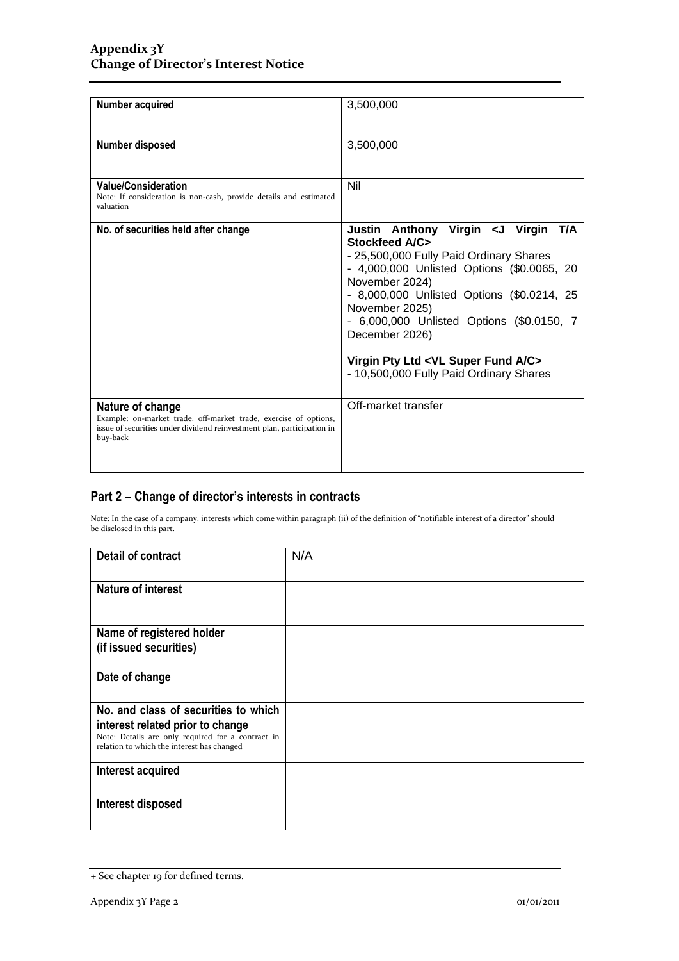| Number acquired                                                                                                                                                            | 3,500,000                                                                                                                                                                                                                                                                                                                                                                                              |
|----------------------------------------------------------------------------------------------------------------------------------------------------------------------------|--------------------------------------------------------------------------------------------------------------------------------------------------------------------------------------------------------------------------------------------------------------------------------------------------------------------------------------------------------------------------------------------------------|
| Number disposed                                                                                                                                                            | 3,500,000                                                                                                                                                                                                                                                                                                                                                                                              |
| <b>Value/Consideration</b><br>Note: If consideration is non-cash, provide details and estimated<br>valuation                                                               | Nil                                                                                                                                                                                                                                                                                                                                                                                                    |
| No. of securities held after change                                                                                                                                        | Justin Anthony Virgin < J Virgin<br>T/A<br>Stockfeed A/C><br>- 25,500,000 Fully Paid Ordinary Shares<br>- 4,000,000 Unlisted Options (\$0.0065, 20<br>November 2024)<br>- 8,000,000 Unlisted Options (\$0.0214, 25<br>November 2025)<br>- 6,000,000 Unlisted Options (\$0.0150, 7<br>December 2026)<br>Virgin Pty Ltd <vl a="" c="" fund="" super=""><br/>- 10,500,000 Fully Paid Ordinary Shares</vl> |
| Nature of change<br>Example: on-market trade, off-market trade, exercise of options,<br>issue of securities under dividend reinvestment plan, participation in<br>buy-back | Off-market transfer                                                                                                                                                                                                                                                                                                                                                                                    |

## **Part 2 – Change of director's interests in contracts**

Note: In the case of a company, interests which come within paragraph (ii) of the definition of "notifiable interest of a director" should be disclosed in this part.

| <b>Detail of contract</b>                                                                       | N/A |
|-------------------------------------------------------------------------------------------------|-----|
| <b>Nature of interest</b>                                                                       |     |
| Name of registered holder                                                                       |     |
| (if issued securities)                                                                          |     |
| Date of change                                                                                  |     |
| No. and class of securities to which                                                            |     |
| interest related prior to change                                                                |     |
| Note: Details are only required for a contract in<br>relation to which the interest has changed |     |
| Interest acquired                                                                               |     |
| Interest disposed                                                                               |     |

<sup>+</sup> See chapter 19 for defined terms.